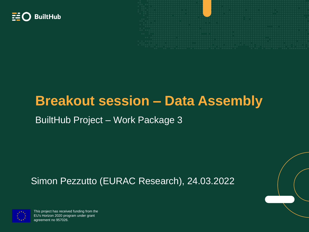



# **Breakout session – Data Assembly**

### BuiltHub Project – Work Package 3

### Simon Pezzutto (EURAC Research), 24.03.2022



This project has received funding from the EU's Horizon 2020 program under grant agreement no 957026.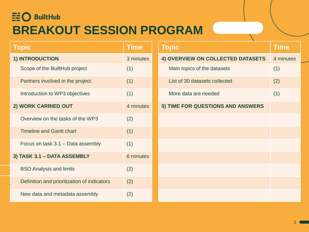## $\Xi$ O BuiltHub **BREAKOUT SESSION PROGRAM**

| <b>Topic</b>                                | <b>Time</b> |
|---------------------------------------------|-------------|
| 1) INTRODUCTION                             | 3 minutes   |
| Scope of the BuiltHub project               | (1)         |
| Partners involved in the project            | (1)         |
| Introduction to WP3 objectives              | (1)         |
| 2) WORK CARRIED OUT                         | 4 minutes   |
| Overview on the tasks of the WP3            | (2)         |
| <b>Timeline and Gantt chart</b>             | (1)         |
| Focus on task 3.1 – Data assembly           | (1)         |
| 3) TASK 3.1 - DATA ASSEMBLY                 | 6 minutes   |
| <b>BSO Analysis and limits</b>              | (2)         |
| Definition and prioritization of indicators | (2)         |
| New data and metadata assembly              | (2)         |

| <b>Topic</b>                      | <b>Time</b> |
|-----------------------------------|-------------|
| 4) OVERVIEW ON COLLECTED DATASETS | 4 minutes   |
| Main topics of the datasets       | (1)         |
| List of 30 datasets collected     | (2)         |
| More data are needed              | (1)         |
| 5) TIME FOR QUESTIONS AND ANSWERS |             |
|                                   |             |
|                                   |             |
|                                   |             |
|                                   |             |
|                                   |             |
|                                   |             |
|                                   |             |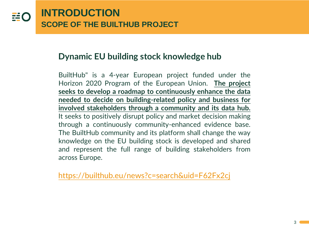### **Dynamic EU building stock knowledge hub**

BuiltHub" is a 4-year European project funded under the Horizon 2020 Program of the European Union. **The project seeks to develop a roadmap to continuously enhance the data needed to decide on building-related policy and business for involved stakeholders through a community and its data hub.** It seeks to positively disrupt policy and market decision making through a continuously community-enhanced evidence base. The BuiltHub community and its platform shall change the way knowledge on the EU building stock is developed and shared and represent the full range of building stakeholders from across Europe.

<https://builthub.eu/news?c=search&uid=F62Fx2cj>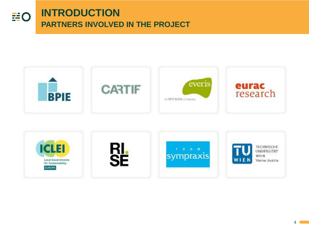

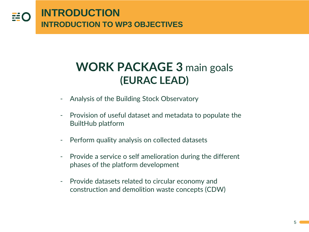

## **WORK PACKAGE 3** main goals **(EURAC LEAD)**

- Analysis of the Building Stock Observatory
- Provision of useful dataset and metadata to populate the BuiltHub platform
- Perform quality analysis on collected datasets
- Provide a service o self amelioration during the different phases of the platform development
- Provide datasets related to circular economy and construction and demolition waste concepts (CDW)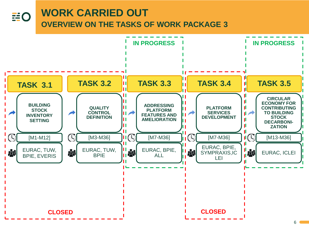#### **WORK CARRIED OUT EO OVERVIEW ON THE TASKS OF WORK PACKAGE 3**

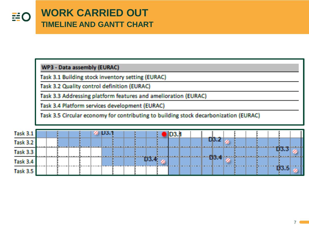WP3 - Data assembly (EURAC)

Task 3.1 Building stock inventory setting (EURAC)

Task 3.2 Quality control definition (EURAC)

Task 3.3 Addressing platform features and amelioration (EURAC)

Task 3.4 Platform services development (EURAC)

Task 3.5 Circular economy for contributing to building stock decarbonization (EURAC)

| <b>Task 3.1</b> |  |  |  | $\%$ D3.1 |  |  |  |  |           |  |  |  |  |
|-----------------|--|--|--|-----------|--|--|--|--|-----------|--|--|--|--|
| Task 3.2        |  |  |  |           |  |  |  |  | D3.2      |  |  |  |  |
| <b>Task 3.3</b> |  |  |  |           |  |  |  |  |           |  |  |  |  |
| Task 3.4        |  |  |  |           |  |  |  |  | $-69.4 -$ |  |  |  |  |
| Task 3.5        |  |  |  |           |  |  |  |  |           |  |  |  |  |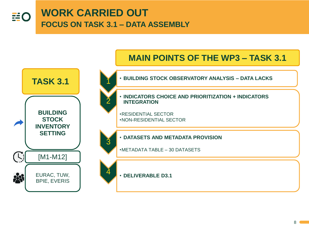

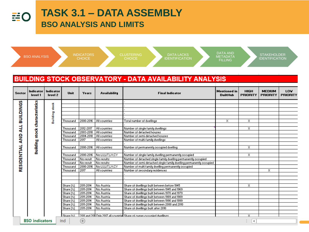#### **TASK 3.1 – DATA ASSEMBLY HO BSO ANALYSIS AND LIMITS**

|                                                    | <b>BSO ANALYSIS</b>                   |                   |                                                                                                                                                                                              | <b>INDICATORS</b><br><b>CHOICE</b>                                                                                                                                          |                                                                                                                                                                                                                                            | <b>CLUSTERING</b><br><b>DATA LACKS</b><br><b>CHOICE</b><br><b>IDENTIFICATION</b>                                                                                                                                                                                                                                                                                                                                                                                                                                                                                                                                                                             | <b>DATA AND</b><br><b>METADATA</b><br><b>FILLING</b> |                            | <b>STAKEHOLDER</b><br><b>IDENTIFICATION</b> |                 |
|----------------------------------------------------|---------------------------------------|-------------------|----------------------------------------------------------------------------------------------------------------------------------------------------------------------------------------------|-----------------------------------------------------------------------------------------------------------------------------------------------------------------------------|--------------------------------------------------------------------------------------------------------------------------------------------------------------------------------------------------------------------------------------------|--------------------------------------------------------------------------------------------------------------------------------------------------------------------------------------------------------------------------------------------------------------------------------------------------------------------------------------------------------------------------------------------------------------------------------------------------------------------------------------------------------------------------------------------------------------------------------------------------------------------------------------------------------------|------------------------------------------------------|----------------------------|---------------------------------------------|-----------------|
| Sector                                             | Indicator                             | Indicator         | Unit                                                                                                                                                                                         | Years                                                                                                                                                                       | <b>Availability</b>                                                                                                                                                                                                                        | <b>BUILDING STOCK OBSERVATORY - DATA AVAILABILITY ANALYSIS</b><br><b>Final Indicator</b>                                                                                                                                                                                                                                                                                                                                                                                                                                                                                                                                                                     | Mentioned in                                         | <b>HIGH</b>                | <b>MEDIUM</b>                               | LOV             |
|                                                    | level 1                               | level 2           |                                                                                                                                                                                              |                                                                                                                                                                             |                                                                                                                                                                                                                                            |                                                                                                                                                                                                                                                                                                                                                                                                                                                                                                                                                                                                                                                              | <b>BuiltHub</b>                                      | <b>PRIORITY</b>            | <b>PRIORITY</b>                             | <b>PRIORITY</b> |
| <b>BUILDINGS</b><br>玉<br><b>AND</b><br>RESIDENTIAL | <b>Building stock characteristics</b> | stock<br>Building | Thousand<br>Thousand<br>Thousand<br>Thousand<br>Thousand<br>Thousand<br>Thousand<br>Thousand<br>Thousand<br>Thousand<br>Thousand<br>Share $[\times]$<br>Share $[\times]$<br>Share $[\times]$ | 2000-2016<br>2012-2017<br>2003-2018<br>2004-2018<br>2017<br>2000-2016<br>2000-2016<br>No result<br>  No result <br>2000-2016<br>2017<br>2011-2014<br>2011-2014<br>2011-2014 | All countries<br>All countries<br>All countries<br><b>All countries</b><br>All countries<br>All countries<br>No LULLIT, LV, CY<br>No results<br>No results<br>No LULLIT, LV, CY<br>All countries<br>No Austria<br>No Austria<br>No Austria | Total number of dwellings<br>Number of single family dwellings<br>Number of detached houses<br>Number of semi-detached houses<br>Number of multi-family dwellings<br>Number of permanently occupied dwelling<br>Number of single family dwelling permanently occupied<br>Number of detached single family dwelling permanently occupied<br>Number of semi-detached single family dwelling permanently occupied<br>Number of multi family dwelling permanently occupied<br>Number of secondary residences<br>Share of dwellings built between before 1945<br>Share of dwellings built between 1945 and 1969<br>Share of dwellings built between 1970 and 1979 | ×.                                                   | x.<br>x<br>x<br>x<br>x     | x                                           |                 |
|                                                    |                                       |                   | Share $[\times]$                                                                                                                                                                             | 2011-2014                                                                                                                                                                   | No Austria                                                                                                                                                                                                                                 | Share of dwellings built between 1989 and 1989                                                                                                                                                                                                                                                                                                                                                                                                                                                                                                                                                                                                               |                                                      |                            |                                             |                 |
|                                                    |                                       |                   | Share $(X)$<br>Share $[\times]$                                                                                                                                                              | 2011-2014<br>2011-2014                                                                                                                                                      | No Austria<br>No Austria                                                                                                                                                                                                                   | Share of dwellings built between 1990 and 1999<br>Share of dwellings built between 2000 and 2010                                                                                                                                                                                                                                                                                                                                                                                                                                                                                                                                                             |                                                      |                            |                                             |                 |
|                                                    |                                       |                   | Share(X)                                                                                                                                                                                     | 2011-2014                                                                                                                                                                   | No Austria                                                                                                                                                                                                                                 | Share of dwellings built after 2010                                                                                                                                                                                                                                                                                                                                                                                                                                                                                                                                                                                                                          |                                                      |                            |                                             |                 |
|                                                    |                                       |                   |                                                                                                                                                                                              |                                                                                                                                                                             |                                                                                                                                                                                                                                            |                                                                                                                                                                                                                                                                                                                                                                                                                                                                                                                                                                                                                                                              |                                                      |                            |                                             |                 |
|                                                    | <b>BSO</b> indicators                 |                   | Share (Z)<br>Ind                                                                                                                                                                             | $^{\circ}$                                                                                                                                                                  |                                                                                                                                                                                                                                            | 2011 and 201 Only 2017 all countries Share of owner-occupied dwellings.                                                                                                                                                                                                                                                                                                                                                                                                                                                                                                                                                                                      |                                                      | ×.<br>$\blacktriangleleft$ |                                             |                 |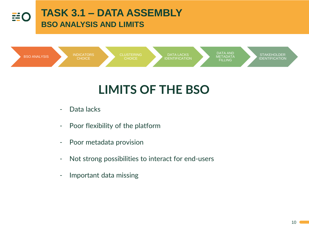

# **LIMITS OF THE BSO**

- Data lacks
- Poor flexibility of the platform
- Poor metadata provision
- Not strong possibilities to interact for end-users
- Important data missing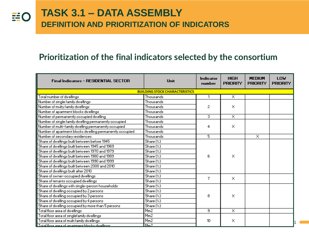### **Prioritization of the final indicators selected by the consortium**

| <b>Final Indicators - RESIDENTIAL SECTOR</b>             | Unit                                     | Indicator<br>number | <b>HIGH</b><br><b>PRIORITY</b> | <b>MEDIUM</b><br><b>PRIORITY</b> | LOW<br><b>PRIORITY</b> |
|----------------------------------------------------------|------------------------------------------|---------------------|--------------------------------|----------------------------------|------------------------|
|                                                          | <b>BUILDING STOCK CHARACTERISTICS</b>    |                     |                                |                                  |                        |
| Total number of dwellings                                | Thousands                                |                     | $\overline{\mathsf{x}}$        |                                  |                        |
| Number of single family dwellings                        | Thousands                                |                     |                                |                                  |                        |
| Number of multy family dwellings                         | Thousands                                | 2                   | ×                              |                                  |                        |
| Number of apartment blocks dwellings                     | Thousands                                |                     |                                |                                  |                        |
| Number of permanently occupied dwelling                  | Thousands                                | 3.                  | ≅                              |                                  |                        |
| Number of single family dwelling permanently occupied    | Thousands                                |                     |                                |                                  |                        |
| Number of multi-family dwelling permanently occupied     | Thousands                                | 4                   | ×                              |                                  |                        |
| Number of apartment blocks dwelling permanently occupied | Thousands                                |                     |                                |                                  |                        |
| Number of secondary residences                           | Thousands                                | 5.                  |                                | ≅                                |                        |
| Share of dwellings built between before 1945             | Share(X)                                 |                     |                                |                                  |                        |
| Share of dwellings built between 1945 and 1969           | $\overline{\mathsf{Share}}(\mathscr{Z})$ |                     |                                |                                  |                        |
| Share of dwellings built between 1970 and 1979           | Share(X)                                 |                     |                                |                                  |                        |
| Share of dwellings built between 1980 and 1989           | Share(X)                                 | 6.                  | ×                              |                                  |                        |
| Share of dwellings built between 1990 and 1999           | $\overline{\mathsf{Share}}(\mathscr{Z})$ |                     |                                |                                  |                        |
| Share of dwellings built between 2000 and 2010           | Share(X)                                 |                     |                                |                                  |                        |
| Share of dwellings built after 2010                      | $\overline{\mathsf{Share}}(\mathscr{C})$ |                     |                                |                                  |                        |
| Share of owner-occupied dwellings                        | Share(X)                                 | 7                   | x                              |                                  |                        |
| Share of tenants occupied dwellings                      | $\overline{\mathsf{Share}}(\mathsf{X})$  |                     |                                |                                  |                        |
| Share of dwellings with single-person households         | Share(X)                                 |                     |                                |                                  |                        |
| Share of dwelling occupied by 2 persons                  | Share(X)                                 |                     |                                |                                  |                        |
| Share of dwelling occupied by 3 persons                  | Share(X)                                 | 8.                  | ×                              |                                  |                        |
| Share of dwelling occupied by 4 persons                  | Share(X)                                 |                     |                                |                                  |                        |
| Share of dwelling occupied by more than 5 persons        | Share(X)                                 |                     |                                |                                  |                        |
| Total floor area of dwellings                            | Mm <sub>2</sub>                          | э                   | ≅                              |                                  |                        |
| Total floor area of singlefamily dwellings               | Mm <sub>2</sub>                          |                     |                                |                                  |                        |
| Total floor area of multi family dwellings               | Mm <sub>2</sub>                          | 10                  | ×                              |                                  |                        |
| Total floor area of an artment blooks dwellings.         | Mm2                                      |                     |                                |                                  |                        |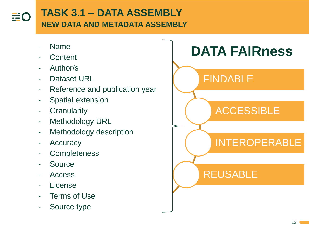

## **TASK 3.1 – DATA ASSEMBLY NEW DATA AND METADATA ASSEMBLY**

- Name
- Content
- Author/s
- Dataset URL
- Reference and publication year
- Spatial extension
- **Granularity**
- Methodology URL
- Methodology description
- Accuracy
- **Completeness**
- **Source**
- Access
- **License**
- Terms of Use
- Source type

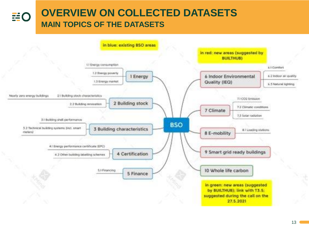#### **OVERVIEW ON COLLECTED DATASETS EEO MAIN TOPICS OF THE DATASETS**

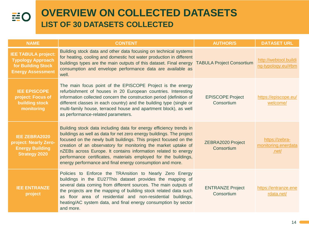### **EO**

### **OVERVIEW ON COLLECTED DATASETS LIST OF 30 DATASETS COLLECTED**

| <b>NAME</b>                                                                                              | <b>CONTENT</b>                                                                                                                                                                                                                                                                                                                                                                                                                                                                      | <b>AUTHOR/S</b>                       | <b>DATASET URL</b>                                       |
|----------------------------------------------------------------------------------------------------------|-------------------------------------------------------------------------------------------------------------------------------------------------------------------------------------------------------------------------------------------------------------------------------------------------------------------------------------------------------------------------------------------------------------------------------------------------------------------------------------|---------------------------------------|----------------------------------------------------------|
| <b>IEE TABULA project:</b><br><b>Typology Approach</b><br>for Building Stock<br><b>Energy Assessment</b> | Building stock data and other data focusing on technical systems<br>for heating, cooling and domestic hot water production in different<br>buildings types are the main outputs of this dataset. Final energy TABULA Project Consortium<br>consumption and envelope performance data are available as<br>well.                                                                                                                                                                      |                                       | http://webtool.buildi<br>ng-typology.eu/#bm              |
| <b>IEE EPISCOPE</b><br>project: Focus of<br>building stock<br>monitoring                                 | The main focus point of the EPISCOPE Project is the energy<br>refurbishment of houses in 20 European countries. Interesting<br>information collected concern the construction period (definition of<br>different classes in each country) and the building type (single or<br>multi-family house, terraced house and apartment block), as well<br>as performance-related parameters.                                                                                                | <b>EPISCOPE Project</b><br>Consortium | https://episcope.eu/<br>welcome/                         |
| <b>IEE ZEBRA2020</b><br>project: Nearly Zero-<br><b>Energy Building</b><br><b>Strategy 2020</b>          | Building stock data including data for energy efficiency trends in<br>buildings as well as data for net zero energy buildings. The project<br>focused on the newly built buildings. This project focused on the<br>creation of an observatory for monitoring the market uptake of<br>nZEBs across Europe. It contains information related to energy<br>performance certificates, materials employed for the buildings,<br>energy performance and final energy consumption and more. | ZEBRA2020 Project<br>Consortium       | https://zebra-<br>monitoring.enerdata<br>.net $\sqrt{ }$ |
| <b>IEE ENTRANZE</b><br>project                                                                           | Policies to Enforce the TRAnsition to Nearly Zero Energy<br>buildings in the EU27This dataset provides the mapping of<br>several data coming from different sources. The main outputs of<br>the projects are the mapping of building stock related data such<br>as floor area of residential and non-residential buildings,<br>heating/AC system data, and final energy consumption by sector<br>and more.                                                                          | <b>ENTRANZE Project</b><br>Consortium | https://entranze.ene<br>rdata.net/                       |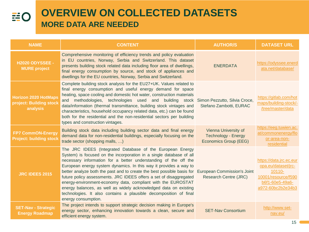| <b>NAME</b>                                                        | <b>CONTENT</b>                                                                                                                                                                                                                                                                                                                                                                                                                                                                                                                                                                                                                                                                       | <b>AUTHOR/S</b>                                                             | <b>DATASET URL</b>                                                                                                      |
|--------------------------------------------------------------------|--------------------------------------------------------------------------------------------------------------------------------------------------------------------------------------------------------------------------------------------------------------------------------------------------------------------------------------------------------------------------------------------------------------------------------------------------------------------------------------------------------------------------------------------------------------------------------------------------------------------------------------------------------------------------------------|-----------------------------------------------------------------------------|-------------------------------------------------------------------------------------------------------------------------|
| <b>H2020 ODYSSEE -</b><br><b>MURE</b> project                      | Comprehensive monitoring of efficiency trends and policy evaluation<br>in EU countries, Norway, Serbia and Switzerland. This dataset<br>presents building stock related data including floor area of dwellings,<br>final energy consumption by source, and stock of appliances and<br>dwellings for the EU countries, Norway, Serbia and Switzerland.                                                                                                                                                                                                                                                                                                                                | <b>ENERDATA</b>                                                             | https://odyssee.enerd<br>ata.net/database/                                                                              |
| <b>Horizon 2020 HotMaps</b><br>project: Building stock<br>analysis | Complete building stock analysis for the EU27+UK. Values related to<br>final energy consumption and useful energy demand for space<br>heating, space cooling and domestic hot water, construction materials<br>and methodologies, technologies used and building stock Simon-Pezzutto, Silvia-Croce,<br>data/information (thermal transmittance, building stock vintages and<br>characteristics, household occupancy related data, etc.) can be found<br>both for the residential and the non-residential sectors per building<br>types and construction vintages.                                                                                                                   | Stefano Zambotti, EURAC                                                     | https://gitlab.com/hot<br>maps/building-stock/-<br>/tree/master/data                                                    |
| <b>FP7 CommON-Energy</b><br><b>Project: building stock</b>         | Building stock data including building sector data and final energy<br>demand data for non-residential buildings, especially focusing on the<br>trade sector (shopping malls, )                                                                                                                                                                                                                                                                                                                                                                                                                                                                                                      | Vienna University of<br><b>Technology - Energy</b><br>Economics Group (EEG) | https://eeg.tuwien.ac.<br>at/commonenergy/flo<br>or-area-non-<br>residential                                            |
| <b>JRC IDEES 2015</b>                                              | The JRC IDEES (Integrated Database of the European Energy<br>System) is focused on the incorporation in a single database of all<br>necessary information for a better understanding of the off the<br>European energy system dynamics. In this way it provides a way to<br>better analyze both the past and to create the best possible basis for European Commission's Joint<br>future policy assessments. JRC IDEES offers a set of disaggregated<br>energy-environment-economy data, compliant with the EUROSTAT<br>energy balances, as well as widely acknowledged data on existing<br>technologies. It also contains a plausible decomposition of final<br>energy consumption. | Research Centre (JRC)                                                       | https://data.jrc.ec.eur<br>opa.eu/dataset/jrc-<br>10110-<br>10001/resource/f590<br>b6f1-60e5-49a6-<br>a972-60bc2b2e34b3 |
| <b>SET-Nav - Strategic</b><br><b>Energy Roadmap</b>                | The project intends to support strategic decision making in Europe's<br>energy sector, enhancing innovation towards a clean, secure and<br>efficient energy system.                                                                                                                                                                                                                                                                                                                                                                                                                                                                                                                  | <b>SET-Nav Consortium</b>                                                   | http://www.set-<br>nav.eu/                                                                                              |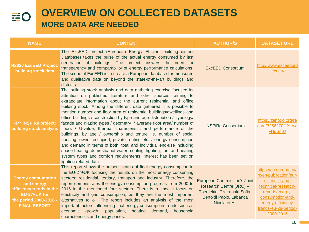| <b>NAME</b>                                                                                                                          | <b>CONTENT</b>                                                                                                                                                                                                                                                                                                                                                                                                                                                                                                                                                                                                                                                                                                                                                                                                                                                                                                                                                       | <b>AUTHOR/S</b>                                                                                                                          | <b>DATASET URL</b>                                                                                                                                                                           |
|--------------------------------------------------------------------------------------------------------------------------------------|----------------------------------------------------------------------------------------------------------------------------------------------------------------------------------------------------------------------------------------------------------------------------------------------------------------------------------------------------------------------------------------------------------------------------------------------------------------------------------------------------------------------------------------------------------------------------------------------------------------------------------------------------------------------------------------------------------------------------------------------------------------------------------------------------------------------------------------------------------------------------------------------------------------------------------------------------------------------|------------------------------------------------------------------------------------------------------------------------------------------|----------------------------------------------------------------------------------------------------------------------------------------------------------------------------------------------|
| H2020 ExcEED Project:<br>building stock data                                                                                         | The ExcEED project (European Energy Efficient building district<br>Database) takes the pulse of the actual energy consumed by last<br>generation of buildings. The project answers the need for<br>transparency and comparability of energy performance calculations.<br>The scope of ExcEED is to create a European database for measured<br>and qualitative data on beyond the state-of-the-art buildings and<br>districts.                                                                                                                                                                                                                                                                                                                                                                                                                                                                                                                                        | <b>ExcEED Consortium</b>                                                                                                                 | http://www.exceedpro<br>ject.eu/                                                                                                                                                             |
| FP7 iNSPiRe project:<br><b>building stock analysis</b>                                                                               | The building stock analysis and data gathering exercise focused its<br>attention on published literature and other sources, aiming to<br>extrapolate information about the current residential and office<br>building stock. Among the different data gathered it is possible to<br>mention number and floor area of residential buildings/dwellings and<br>office buildings / construction by type and age distribution / typology/<br>façade and glazing types / geometry / average floor area/ number of<br>floors / U-value, thermal characteristic and performance of the<br>buildings, by age / ownership and tenure i.e. number of social<br>housing, owner occupied, private renting etc. / energy consumption<br>and demand in terms of both, total and individual end-use including<br>space heating, domestic hot water, cooling, lighting; fuel and heating<br>system types and comfort requirements. Interest has been set on<br>lighting-related data. | <b>iNSPiRe Consortium</b>                                                                                                                | https://zenodo.org/re<br>cord/3256270#.X wa<br>yHqSnIU                                                                                                                                       |
| <b>Energy consumption</b><br>and energy<br>efficiency trends in the<br>EU-27+UK for<br>the period 2000-2016 -<br><b>FINAL REPORT</b> | This report shows the present status of final energy consumption in<br>the EU-27+UK focusing the results on the most energy consuming<br>sectors: residential, tertiary, transport and industry. Therefore, the<br>report demonstrates the energy consumption progress from 2000 to<br>2016 in the mentioned four sectors. There is a special focus on<br>electricity and gas consumption, as they are the most important<br>alternatives to oil. The report includes an analysis of the most<br>important factors influencing final energy consumption trends such as<br>economic growth, population, heating demand,<br>household<br>characteristics and energy prices.                                                                                                                                                                                                                                                                                            | <b>European Commission's Joint</b><br>Research Centre (JRC) -<br>Tsemekidi Tzeiranaki Sofia,<br>Bertoldi Paolo, Labanca<br>Nicola et Al. | https://ec.europa.eu/j<br>rc/en/publication/eur-<br>scientific-and-<br>technical-research-<br>reports/energy-<br>consumption-and-<br>energy-efficiency-<br>trends-eu-28-period-<br>2000-2016 |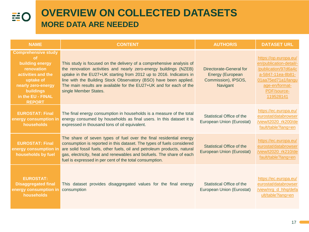| <b>NAME</b>                                                                                                                                                                                 | <b>CONTENT</b>                                                                                                                                                                                                                                                                                                                                                                      | <b>AUTHOR/S</b>                                                                       | <b>DATASET URL</b>                                                                                                                                                |
|---------------------------------------------------------------------------------------------------------------------------------------------------------------------------------------------|-------------------------------------------------------------------------------------------------------------------------------------------------------------------------------------------------------------------------------------------------------------------------------------------------------------------------------------------------------------------------------------|---------------------------------------------------------------------------------------|-------------------------------------------------------------------------------------------------------------------------------------------------------------------|
| <b>Comprehensive study</b><br><b>of</b><br>building energy<br>renovation<br>activities and the<br>uptake of<br>nearly zero-energy<br><b>buildings</b><br>in the EU - FINAL<br><b>REPORT</b> | This study is focused on the delivery of a comprehensive analysis of<br>the renovation activities and nearly zero-energy buildings (NZEB)<br>uptake in the EU27+UK starting from 2012 up to 2016. Indicators in<br>line with the Building Stock Observatory (BSO) have been applied.<br>The main results are available for the EU27+UK and for each of the<br>single Member States. | Directorate-General for<br><b>Energy (European</b><br>Commission), IPSOS,<br>Navigant | https://op.europa.eu/<br>en/publication-detail/-<br>/publication/97d6a4c<br>a-5847-11ea-8b81-<br>01aa75ed71a1/langu<br>age-en/format-<br>PDF/source-<br>119528141 |
| <b>EUROSTAT: Final</b><br>energy consumption in<br>households                                                                                                                               | The final energy consumption in households is a measure of the total<br>energy consumed by households as final users. In this dataset it is<br>expressed in thousand tons of oil equivalent.                                                                                                                                                                                        | Statistical Office of the<br>European Union (Eurostat)                                | https://ec.europa.eu/<br>eurostat/databrowser<br>/view/t2020_rk200/de<br>fault/table?lang=en                                                                      |
| <b>EUROSTAT: Final</b><br>energy consumption in<br>households by fuel                                                                                                                       | The share of seven types of fuel over the final residential energy<br>consumption is reported in this dataset. The types of fuels considered<br>are solid fossil fuels, other fuels, oil and petroleum products, natural<br>gas, electricity, heat and renewables and biofuels. The share of each<br>fuel is expressed in per cent of the total consumption.                        | <b>Statistical Office of the</b><br>European Union (Eurostat)                         | https://ec.europa.eu/<br>eurostat/databrowser<br>/view/t2020 rk210/de<br>fault/table?lang=en                                                                      |
| <b>EUROSTAT:</b><br><b>Disaggregated final</b><br>energy consumption in<br>households                                                                                                       | This dataset provides disaggregated values for the final energy<br>consumption                                                                                                                                                                                                                                                                                                      | <b>Statistical Office of the</b><br>European Union (Eurostat)                         | https://ec.europa.eu/<br>eurostat/databrowser<br>/view/nrg d hhq/defa<br>ult/table?lang=en                                                                        |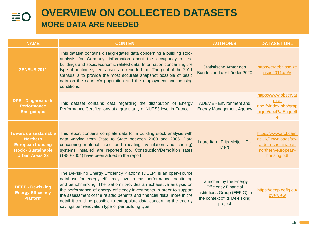## **EO**

| <b>NAME</b>                                                                                                                | <b>CONTENT</b>                                                                                                                                                                                                                                                                                                                                                                                                                                                                                | <b>AUTHOR/S</b>                                                                                                                    | <b>DATASET URL</b>                                                                                       |
|----------------------------------------------------------------------------------------------------------------------------|-----------------------------------------------------------------------------------------------------------------------------------------------------------------------------------------------------------------------------------------------------------------------------------------------------------------------------------------------------------------------------------------------------------------------------------------------------------------------------------------------|------------------------------------------------------------------------------------------------------------------------------------|----------------------------------------------------------------------------------------------------------|
| <b>ZENSUS 2011</b>                                                                                                         | This dataset contains disaggregated data concerning a building stock<br>analysis for Germany, information about the occupancy of the<br>buildings and socio/economic related data. Information concerning the<br>type of heating systems used are reported too. The goal of the 2011<br>Census is to provide the most accurate snapshot possible of basic<br>data on the country's population and the employment and housing<br>conditions.                                                   | Statistische Ämter des<br>Bundes und der Länder 2020                                                                               | https://ergebnisse.ze<br>nsus2011.de/#                                                                   |
| <b>DPE - Diagnostic de</b><br><b>Performance</b><br><b>Energetique</b>                                                     | This dataset contains data regarding the distribution of Energy<br>Performance Certifications at a granularity of NUTS3 level in France.                                                                                                                                                                                                                                                                                                                                                      | ADEME - Environment and<br><b>Energy Management Agency</b>                                                                         | https://www.observat<br>oire-<br>dpe.fr/index.php/grap<br>hique/dpeParEtiquett<br>$\mathbf{e}$           |
| <b>Towards a sustainable</b><br><b>Northern</b><br><b>European housing</b><br>stock - Sustainable<br><b>Urban Areas 22</b> | This report contains complete data for a building stock analysis with<br>data varying from State to State between 2000 and 2006. Data<br>concerning material used and (heating, ventilation and cooling)<br>systems installed are reported too. Construction/Demolition rates<br>(1980-2004) have been added to the report.                                                                                                                                                                   | Laure Itard, Frits Meijer - TU<br><b>Delft</b>                                                                                     | https://www.arct.cam.<br>ac.uk/Downloads/tow<br>ards-a-sustainable-<br>northern-european-<br>housing.pdf |
| <b>DEEP - De-risking</b><br><b>Energy Efficiency</b><br><b>Platform</b>                                                    | The De-risking Energy Efficiency Platform (DEEP) is an open-source<br>database for energy efficiency investments performance monitoring<br>and benchmarking. The platform provides an exhaustive analysis on<br>the performance of energy efficiency investments in order to support<br>the assessment of the related benefits and financial risks, more in the<br>detail it could be possible to extrapolate data concerning the energy<br>savings per renovation type or per building type. | Launched by the Energy<br><b>Efficiency Financial</b><br>Institutions Group (EEFIG) in<br>the context of its De-risking<br>project | https://deep.eefig.eu/<br>overview                                                                       |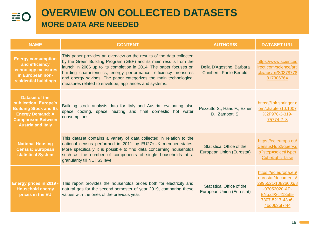| <b>NAME</b>                                                                                                                                                         | <b>CONTENT</b>                                                                                                                                                                                                                                                                                                                                                                                                   | <b>AUTHOR/S</b>                                               | <b>DATASET URL</b>                                                                                                                         |
|---------------------------------------------------------------------------------------------------------------------------------------------------------------------|------------------------------------------------------------------------------------------------------------------------------------------------------------------------------------------------------------------------------------------------------------------------------------------------------------------------------------------------------------------------------------------------------------------|---------------------------------------------------------------|--------------------------------------------------------------------------------------------------------------------------------------------|
| <b>Energy consumption</b><br>and efficiency<br>technology measures<br>in European non-<br>residential buildings                                                     | This paper provides an overview on the results of the data collected<br>by the Green Building Program (GBP) and its main results from the<br>launch in 2006 up to its completion in 2014. The paper focuses on<br>building characteristics, energy performance, efficiency measures<br>and energy savings. The paper categorizes the main technological<br>measures related to envelope, appliances and systems. | Delia D'Agostino, Barbara<br>Cuniberti, Paolo Bertoldi        | https://www.scienced<br>irect.com/science/arti<br>cle/abs/pii/S0378778<br>81730676X                                                        |
| <b>Dataset of the</b><br>publication: Europe's<br><b>Building Stock and Its</b><br><b>Energy Demand: A</b><br><b>Comparison Between</b><br><b>Austria and Italy</b> | Building stock analysis data for Italy and Austria, evaluating also<br>space cooling, space heating and final domestic hot water<br>consumptions.                                                                                                                                                                                                                                                                | Pezzutto S., Haas F., Exner<br>D., Zambotti S.                | https://link.springer.c<br>om/chapter/10.1007<br>%2F978-3-319-<br>75774-2 3                                                                |
| <b>National Housing</b><br><b>Census: European</b><br>statistical System                                                                                            | This dataset contains a variety of data collected in relation to the<br>national census performed in 2011 by EU27+UK member states.<br>More specifically it is possible to find data concerning households<br>such as the number of components of single households at a<br>granularity till NUTS3 level.                                                                                                        | <b>Statistical Office of the</b><br>European Union (Eurostat) | https://ec.europa.eu/<br>CensusHub2/query.d<br>o?step=selectHyper<br>Cube&ghc=false                                                        |
| <b>Energy prices in 2019</b><br><b>Household energy</b><br>prices in the EU                                                                                         | This report provides the households prices both for electricity and<br>natural gas for the second semester of year 2019, comparing these<br>values with the ones of the previous year.                                                                                                                                                                                                                           | Statistical Office of the<br>European Union (Eurostat)        | https://ec.europa.eu/<br>eurostat/documents/<br>2995521/10826603/8<br>-07052020-AP-<br>EN.pdf/2c418ef5-<br>7307-5217-43a6-<br>4bd063bf7f44 |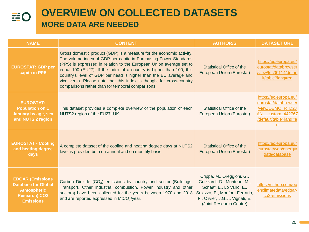## **EO**

| <b>NAME</b>                                                                                                             | <b>CONTENT</b>                                                                                                                                                                                                                                                                                                                                                                                                                                                                            | <b>AUTHOR/S</b>                                                                                                                                                                          | <b>DATASET URL</b>                                                                                                  |
|-------------------------------------------------------------------------------------------------------------------------|-------------------------------------------------------------------------------------------------------------------------------------------------------------------------------------------------------------------------------------------------------------------------------------------------------------------------------------------------------------------------------------------------------------------------------------------------------------------------------------------|------------------------------------------------------------------------------------------------------------------------------------------------------------------------------------------|---------------------------------------------------------------------------------------------------------------------|
| <b>EUROSTAT: GDP per</b><br>capita in PPS                                                                               | Gross domestic product (GDP) is a measure for the economic activity.<br>The volume index of GDP per capita in Purchasing Power Standards<br>(PPS) is expressed in relation to the European Union average set to<br>equal 100 (EU27). If the index of a country is higher than 100, this<br>country's level of GDP per head is higher than the EU average and<br>vice versa. Please note that this index is thought for cross-country<br>comparisons rather than for temporal comparisons. | <b>Statistical Office of the</b><br>European Union (Eurostat)                                                                                                                            | https://ec.europa.eu/<br>eurostat/databrowser<br>/view/tec00114/defau<br>lt/table?lang=en                           |
| <b>EUROSTAT:</b><br><b>Population on 1</b><br>January by age, sex<br>and NUTS 2 region                                  | This dataset provides a complete overview of the population of each<br>NUTS2 region of the EU27+UK                                                                                                                                                                                                                                                                                                                                                                                        | <b>Statistical Office of the</b><br>European Union (Eurostat)                                                                                                                            | https://ec.europa.eu/<br>eurostat/databrowser<br>/view/DEMO_R_D2J<br>AN custom 442767<br>/default/table?lang=e<br>n |
| <b>EUROSTAT - Cooling</b><br>and heating degree<br>days                                                                 | A complete dataset of the cooling and heating degree days at NUTS2<br>level is provided both on annual and on monthly basis                                                                                                                                                                                                                                                                                                                                                               | <b>Statistical Office of the</b><br>European Union (Eurostat)                                                                                                                            | https://ec.europa.eu/<br>eurostat/web/energy/<br>data/database                                                      |
| <b>EDGAR (Emissions</b><br><b>Database for Global</b><br><b>Atmospheric</b><br><b>Research) CO2</b><br><b>Emissions</b> | Carbon Dioxide (CO <sub>2</sub> ) emissions by country and sector (Buildings,<br>Transport, Other industrial combustion, Power Industry and other<br>sectors) have been collected for the years between 1970 and 2018<br>and are reported expressed in MtCO <sub>2</sub> /year.                                                                                                                                                                                                           | Crippa, M., Oreggioni, G.,<br>Guizzardi, D., Muntean, M.,<br>Schaaf, E., Lo Vullo, E.,<br>Solazzo, E., Monforti-Ferrario,<br>F., Olivier, J.G.J., Vignati, E.<br>(Joint Research Centre) | https://github.com/op<br>enclimatedata/edgar-<br>co2-emissions                                                      |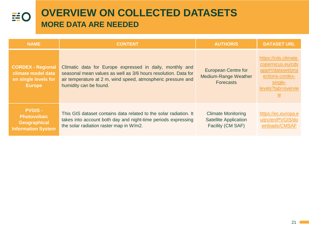| <b>NAME</b>                                                                             | <b>CONTENT</b>                                                                                                                                                                                                       | <b>AUTHOR/S</b>                                                                | <b>DATASET URL</b>                                                                                                                     |
|-----------------------------------------------------------------------------------------|----------------------------------------------------------------------------------------------------------------------------------------------------------------------------------------------------------------------|--------------------------------------------------------------------------------|----------------------------------------------------------------------------------------------------------------------------------------|
| <b>CORDEX - Regional</b><br>climate model data<br>on single levels for<br><b>Europe</b> | Climatic data for Europe expressed in daily, monthly and<br>seasonal mean values as well as 3/6 hours resolution. Data for<br>air temperature at 2 m, wind speed, atmospheric pressure and<br>humidity can be found. | <b>European Centre for</b><br>Medium-Range Weather<br><b>Forecasts</b>         | https://cds.climate.<br>copernicus.eu/cds<br>app#!/dataset/proj<br>ections-cordex-<br>single-<br>levels?tab=overvie<br>$\underline{w}$ |
| <b>PVGIS-</b><br><b>Photovoltaic</b><br>Geographical<br><b>Information System</b>       | This GIS dataset contains data related to the solar radiation. It<br>takes into account both day and night-time periods expressing<br>the solar radiation raster map in W/m2.                                        | <b>Climate Monitoring</b><br><b>Satellite Application</b><br>Facility (CM SAF) | https://ec.europa.e<br>u/jrc/en/PVGIS/do<br>wnloads/CMSAF                                                                              |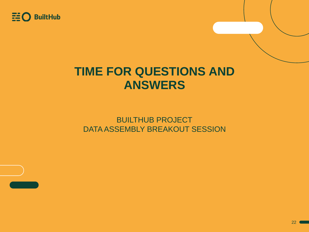

## **TIME FOR QUESTIONS AND ANSWERS**

BUILTHUB PROJECT DATA ASSEMBLY BREAKOUT SESSION

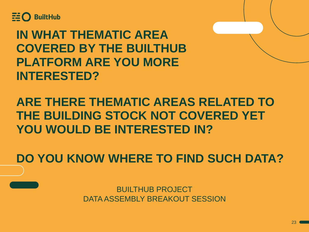

**IN WHAT THEMATIC AREA COVERED BY THE BUILTHUB PLATFORM ARE YOU MORE INTERESTED?**

**ARE THERE THEMATIC AREAS RELATED TO THE BUILDING STOCK NOT COVERED YET YOU WOULD BE INTERESTED IN?**

**DO YOU KNOW WHERE TO FIND SUCH DATA?**

BUILTHUB PROJECT DATA ASSEMBLY BREAKOUT SESSION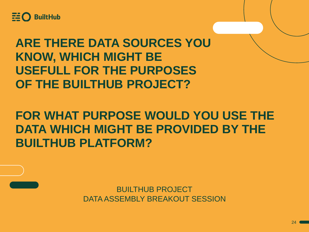

# **ARE THERE DATA SOURCES YOU KNOW, WHICH MIGHT BE USEFULL FOR THE PURPOSES OF THE BUILTHUB PROJECT?**

# **FOR WHAT PURPOSE WOULD YOU USE THE DATA WHICH MIGHT BE PROVIDED BY THE BUILTHUB PLATFORM?**

BUILTHUB PROJECT DATA ASSEMBLY BREAKOUT SESSION